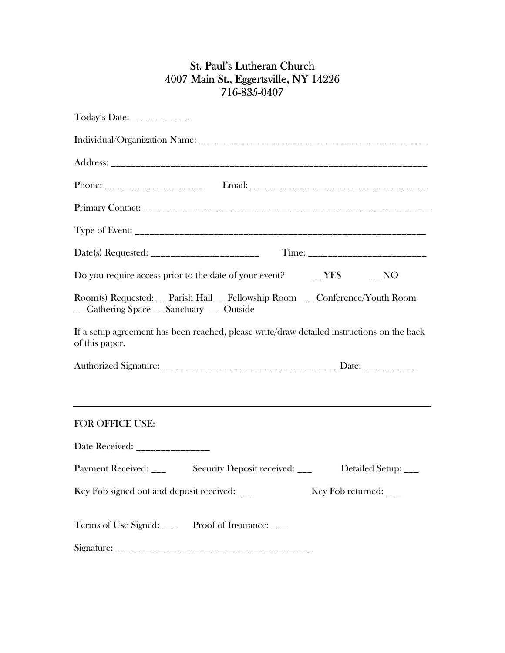## St. Paul's Lutheran Church 4007 Main St., Eggertsville, NY 14226 716-835-0407

| Today's Date: _____________                                                                                              |
|--------------------------------------------------------------------------------------------------------------------------|
|                                                                                                                          |
|                                                                                                                          |
|                                                                                                                          |
|                                                                                                                          |
|                                                                                                                          |
|                                                                                                                          |
| Do you require access prior to the date of your event? $\qquad \qquad - \text{YES} \qquad \qquad - \text{NO}$            |
| Room(s) Requested: __ Parish Hall __ Fellowship Room __ Conference/Youth Room<br>_ Gathering Space _ Sanctuary _ Outside |
| If a setup agreement has been reached, please write/draw detailed instructions on the back<br>of this paper.             |
|                                                                                                                          |
|                                                                                                                          |
| <b>FOR OFFICE USE:</b>                                                                                                   |
| Date Received: ________________                                                                                          |
| Payment Received: ___<br>Security Deposit received: ___<br>Detailed Setup: ___                                           |
| Key Fob signed out and deposit received: ___<br>Key Fob returned: $\frac{ }{ }$                                          |
| Terms of Use Signed: _____ Proof of Insurance: ___                                                                       |
|                                                                                                                          |